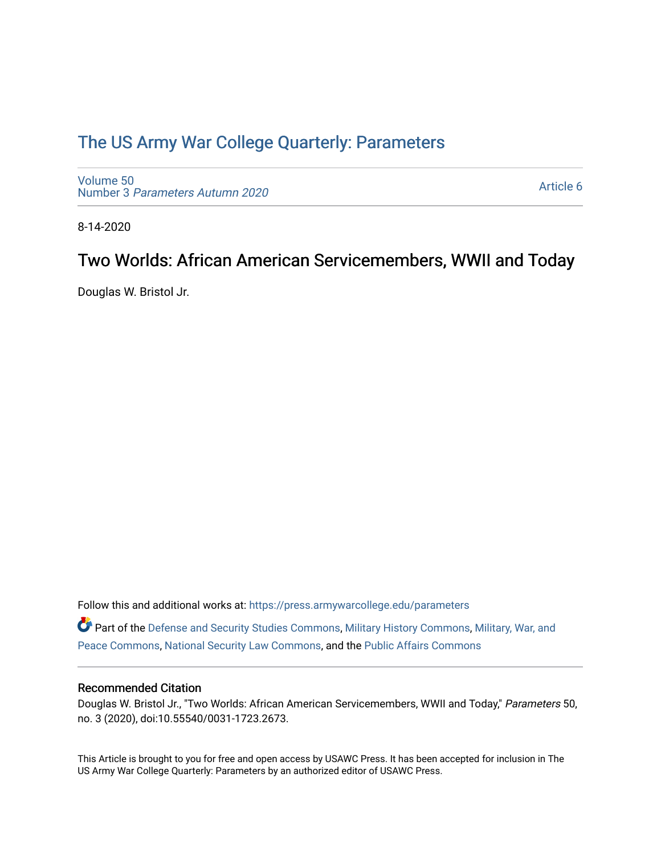### [The US Army War College Quarterly: Parameters](https://press.armywarcollege.edu/parameters)

[Volume 50](https://press.armywarcollege.edu/parameters/vol50) Number 3 [Parameters Autumn 2020](https://press.armywarcollege.edu/parameters/vol50/iss3)

[Article 6](https://press.armywarcollege.edu/parameters/vol50/iss3/6) 

8-14-2020

# Two Worlds: African American Servicemembers, WWII and Today

Douglas W. Bristol Jr.

Follow this and additional works at: [https://press.armywarcollege.edu/parameters](https://press.armywarcollege.edu/parameters?utm_source=press.armywarcollege.edu%2Fparameters%2Fvol50%2Fiss3%2F6&utm_medium=PDF&utm_campaign=PDFCoverPages) 

Part of the [Defense and Security Studies Commons](http://network.bepress.com/hgg/discipline/394?utm_source=press.armywarcollege.edu%2Fparameters%2Fvol50%2Fiss3%2F6&utm_medium=PDF&utm_campaign=PDFCoverPages), [Military History Commons,](http://network.bepress.com/hgg/discipline/504?utm_source=press.armywarcollege.edu%2Fparameters%2Fvol50%2Fiss3%2F6&utm_medium=PDF&utm_campaign=PDFCoverPages) [Military, War, and](http://network.bepress.com/hgg/discipline/861?utm_source=press.armywarcollege.edu%2Fparameters%2Fvol50%2Fiss3%2F6&utm_medium=PDF&utm_campaign=PDFCoverPages)  [Peace Commons](http://network.bepress.com/hgg/discipline/861?utm_source=press.armywarcollege.edu%2Fparameters%2Fvol50%2Fiss3%2F6&utm_medium=PDF&utm_campaign=PDFCoverPages), [National Security Law Commons,](http://network.bepress.com/hgg/discipline/1114?utm_source=press.armywarcollege.edu%2Fparameters%2Fvol50%2Fiss3%2F6&utm_medium=PDF&utm_campaign=PDFCoverPages) and the [Public Affairs Commons](http://network.bepress.com/hgg/discipline/399?utm_source=press.armywarcollege.edu%2Fparameters%2Fvol50%2Fiss3%2F6&utm_medium=PDF&utm_campaign=PDFCoverPages) 

### Recommended Citation

Douglas W. Bristol Jr., "Two Worlds: African American Servicemembers, WWII and Today," Parameters 50, no. 3 (2020), doi:10.55540/0031-1723.2673.

This Article is brought to you for free and open access by USAWC Press. It has been accepted for inclusion in The US Army War College Quarterly: Parameters by an authorized editor of USAWC Press.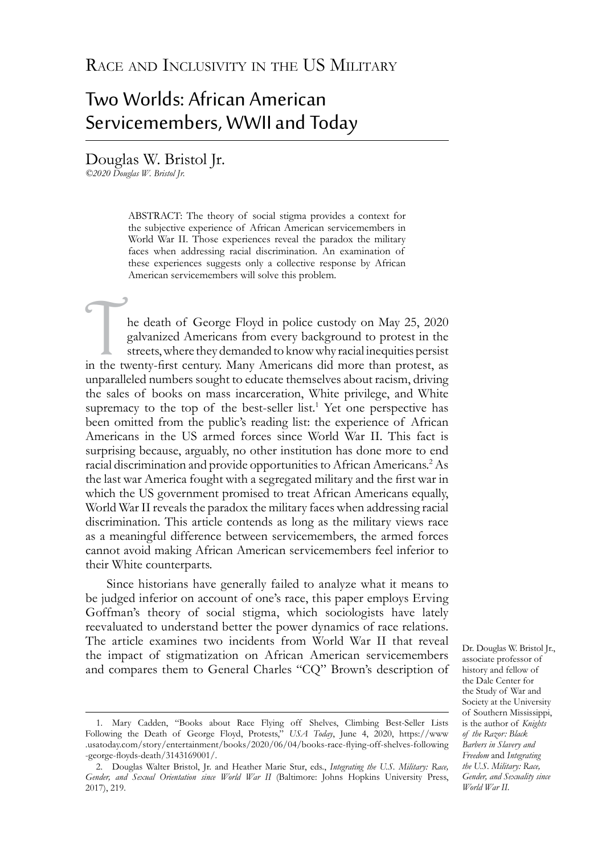## Two Worlds: African American Servicemembers, WWII and Today

Douglas W. Bristol Jr.

*©2020 Douglas W. Bristol Jr.*

ABSTRACT: The theory of social stigma provides a context for the subjective experience of African American servicemembers in World War II. Those experiences reveal the paradox the military faces when addressing racial discrimination. An examination of these experiences suggests only a collective response by African American servicemembers will solve this problem.

In the death of George Floyd in police custody on May 25, 2020 galvanized Americans from every background to protest in the streets, where they demanded to know why racial inequities persist in the twenty-first century. Ma galvanized Americans from every background to protest in the streets, where they demanded to know why racial inequities persist unparalleled numbers sought to educate themselves about racism, driving the sales of books on mass incarceration, White privilege, and White supremacy to the top of the best-seller list.<sup>1</sup> Yet one perspective has been omitted from the public's reading list: the experience of African Americans in the US armed forces since World War II. This fact is surprising because, arguably, no other institution has done more to end racial discrimination and provide opportunities to African Americans.<sup>2</sup> As the last war America fought with a segregated military and the first war in which the US government promised to treat African Americans equally, World War II reveals the paradox the military faces when addressing racial discrimination. This article contends as long as the military views race as a meaningful difference between servicemembers, the armed forces cannot avoid making African American servicemembers feel inferior to their White counterparts.

Since historians have generally failed to analyze what it means to be judged inferior on account of one's race, this paper employs Erving Goffman's theory of social stigma, which sociologists have lately reevaluated to understand better the power dynamics of race relations. The article examines two incidents from World War II that reveal the impact of stigmatization on African American servicemembers and compares them to General Charles "CQ" Brown's description of

Dr. Douglas W. Bristol Jr., associate professor of history and fellow of the Dale Center for the Study of War and Society at the University of Southern Mississippi, is the author of *Knights of the Razor: Black Barbers in Slavery and Freedom* and *Integrating the U.S. Military: Race, Gender, and Sexuality since World War II*.

<sup>1.</sup> Mary Cadden, "Books about Race Flying off Shelves, Climbing Best-Seller Lists Following the Death of George Floyd, Protests," *USA Today*, June 4, 2020, [https://www](https://www.usatoday.com/story/entertainment/books/2020/06/04/books-race-flying-off-shelves-following-george-floyds-death/3143169001/) [.usatoday.com/story/entertainment/books/2020/06/04/books-race-flying-off-shelves-following](https://www.usatoday.com/story/entertainment/books/2020/06/04/books-race-flying-off-shelves-following-george-floyds-death/3143169001/) [-george-floyds-death/3143169001/](https://www.usatoday.com/story/entertainment/books/2020/06/04/books-race-flying-off-shelves-following-george-floyds-death/3143169001/).

<sup>2.</sup> Douglas Walter Bristol, Jr. and Heather Marie Stur, eds., *Integrating the U.S. Military: Race, Gender, and Sexual Orientation since World War II* (Baltimore: Johns Hopkins University Press, 2017), 219.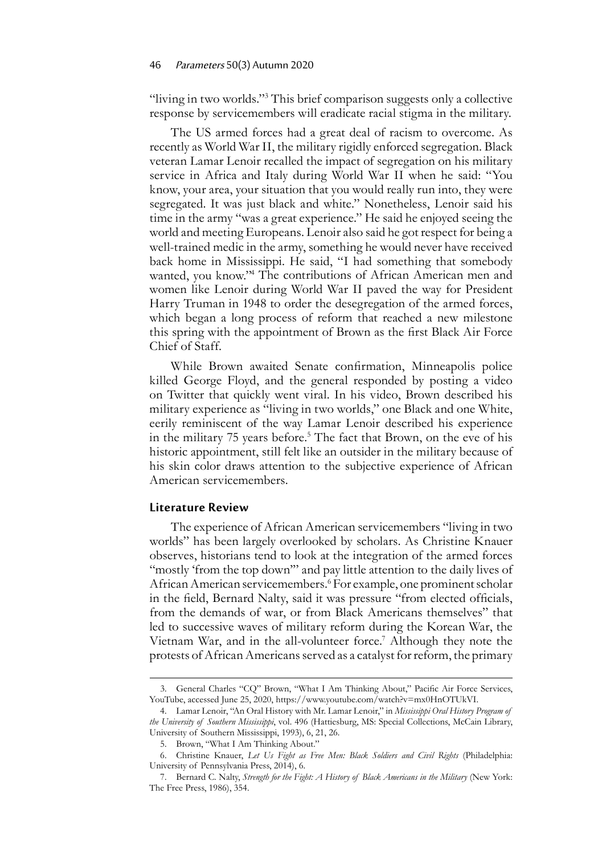"living in two worlds."<sup>3</sup> This brief comparison suggests only a collective response by servicemembers will eradicate racial stigma in the military.

The US armed forces had a great deal of racism to overcome. As recently as World War II, the military rigidly enforced segregation. Black veteran Lamar Lenoir recalled the impact of segregation on his military service in Africa and Italy during World War II when he said: "You know, your area, your situation that you would really run into, they were segregated. It was just black and white." Nonetheless, Lenoir said his time in the army "was a great experience." He said he enjoyed seeing the world and meeting Europeans. Lenoir also said he got respect for being a well-trained medic in the army, something he would never have received back home in Mississippi. He said, "I had something that somebody wanted, you know."4 The contributions of African American men and women like Lenoir during World War II paved the way for President Harry Truman in 1948 to order the desegregation of the armed forces, which began a long process of reform that reached a new milestone this spring with the appointment of Brown as the first Black Air Force Chief of Staff.

While Brown awaited Senate confirmation, Minneapolis police killed George Floyd, and the general responded by posting a video on Twitter that quickly went viral. In his video, Brown described his military experience as "living in two worlds," one Black and one White, eerily reminiscent of the way Lamar Lenoir described his experience in the military 75 years before.<sup>5</sup> The fact that Brown, on the eve of his historic appointment, still felt like an outsider in the military because of his skin color draws attention to the subjective experience of African American servicemembers.

#### **Literature Review**

The experience of African American servicemembers "living in two worlds" has been largely overlooked by scholars. As Christine Knauer observes, historians tend to look at the integration of the armed forces "mostly 'from the top down" and pay little attention to the daily lives of African American servicemembers.<sup>6</sup> For example, one prominent scholar in the field, Bernard Nalty, said it was pressure "from elected officials, from the demands of war, or from Black Americans themselves" that led to successive waves of military reform during the Korean War, the Vietnam War, and in the all-volunteer force.<sup>7</sup> Although they note the protests of African Americans served as a catalyst for reform, the primary

<sup>3.</sup> General Charles "CQ" Brown, "What I Am Thinking About," Pacific Air Force Services, YouTube, accessed June 25, 2020, [https://www.youtube.com/watch?v=mx0HnOTUkVI.](https://www.youtube.com/watch?v=mx0HnOTUkVI)

<sup>4.</sup> Lamar Lenoir, "An Oral History with Mr. Lamar Lenoir," in *Mississippi Oral History Program of the University of Southern Mississippi*, vol. 496 (Hattiesburg, MS: Special Collections, McCain Library, University of Southern Mississippi, 1993), 6, 21, 26.

<sup>5.</sup> Brown, "What I Am Thinking About."

<sup>6.</sup> Christine Knauer, *Let Us Fight as Free Men: Black Soldiers and Civil Rights* (Philadelphia: University of Pennsylvania Press, 2014), 6.

<sup>7.</sup> Bernard C. Nalty, *Strength for the Fight: A History of Black Americans in the Military* (New York: The Free Press, 1986), 354.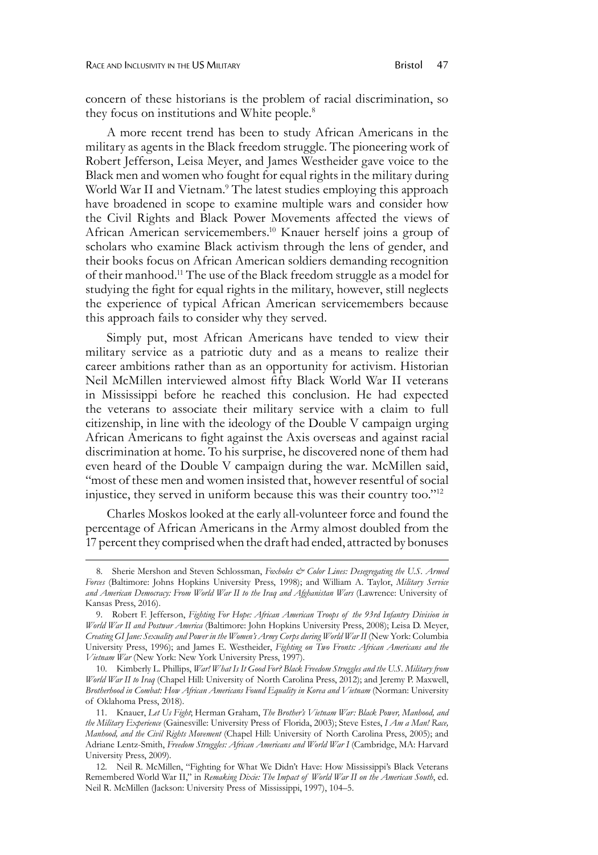concern of these historians is the problem of racial discrimination, so they focus on institutions and White people.<sup>8</sup>

A more recent trend has been to study African Americans in the military as agents in the Black freedom struggle. The pioneering work of Robert Jefferson, Leisa Meyer, and James Westheider gave voice to the Black men and women who fought for equal rights in the military during World War II and Vietnam.<sup>9</sup> The latest studies employing this approach have broadened in scope to examine multiple wars and consider how the Civil Rights and Black Power Movements affected the views of African American servicemembers.10 Knauer herself joins a group of scholars who examine Black activism through the lens of gender, and their books focus on African American soldiers demanding recognition of their manhood.11 The use of the Black freedom struggle as a model for studying the fight for equal rights in the military, however, still neglects the experience of typical African American servicemembers because this approach fails to consider why they served.

Simply put, most African Americans have tended to view their military service as a patriotic duty and as a means to realize their career ambitions rather than as an opportunity for activism. Historian Neil McMillen interviewed almost fifty Black World War II veterans in Mississippi before he reached this conclusion. He had expected the veterans to associate their military service with a claim to full citizenship, in line with the ideology of the Double V campaign urging African Americans to fight against the Axis overseas and against racial discrimination at home. To his surprise, he discovered none of them had even heard of the Double V campaign during the war. McMillen said, "most of these men and women insisted that, however resentful of social injustice, they served in uniform because this was their country too."12

Charles Moskos looked at the early all-volunteer force and found the percentage of African Americans in the Army almost doubled from the 17 percent they comprised when the draft had ended, attracted by bonuses

<sup>8.</sup> Sherie Mershon and Steven Schlossman, *Foxholes & Color Lines: Desegregating the U.S. Armed Forces* (Baltimore: Johns Hopkins University Press, 1998); and William A. Taylor, *Military Service and American Democracy: From World War II to the Iraq and Afghanistan Wars* (Lawrence: University of Kansas Press, 2016).

<sup>9.</sup> Robert F. Jefferson, *Fighting For Hope: African American Troops of the 93rd Infantry Division in World War II and Postwar America* (Baltimore: John Hopkins University Press, 2008); Leisa D. Meyer, *Creating GI Jane: Sexuality and Power in the Women's Army Corps during World War II* (New York: Columbia University Press, 1996); and James E. Westheider, *Fighting on Two Fronts: African Americans and the Vietnam War* (New York: New York University Press, 1997).

<sup>10.</sup> Kimberly L. Phillips, *War! What Is It Good For? Black Freedom Struggles and the U.S. Military from World War II to Iraq* (Chapel Hill: University of North Carolina Press, 2012); and Jeremy P. Maxwell, *Brotherhood in Combat: How African Americans Found Equality in Korea and Vietnam* (Norman: University of Oklahoma Press, 2018).

<sup>11.</sup> Knauer, *Let Us Fight*; Herman Graham, *The Brother's Vietnam War: Black Power, Manhood, and the Military Experience* (Gainesville: University Press of Florida, 2003); Steve Estes, *I Am a Man! Race, Manhood, and the Civil Rights Movement* (Chapel Hill: University of North Carolina Press, 2005); and Adriane Lentz-Smith, *Freedom Struggles: African Americans and World War I* (Cambridge, MA: Harvard University Press, 2009).

<sup>12.</sup> Neil R. McMillen, "Fighting for What We Didn't Have: How Mississippi's Black Veterans Remembered World War II," in *Remaking Dixie: The Impact of World War II on the American South*, ed. Neil R. McMillen (Jackson: University Press of Mississippi, 1997), 104–5.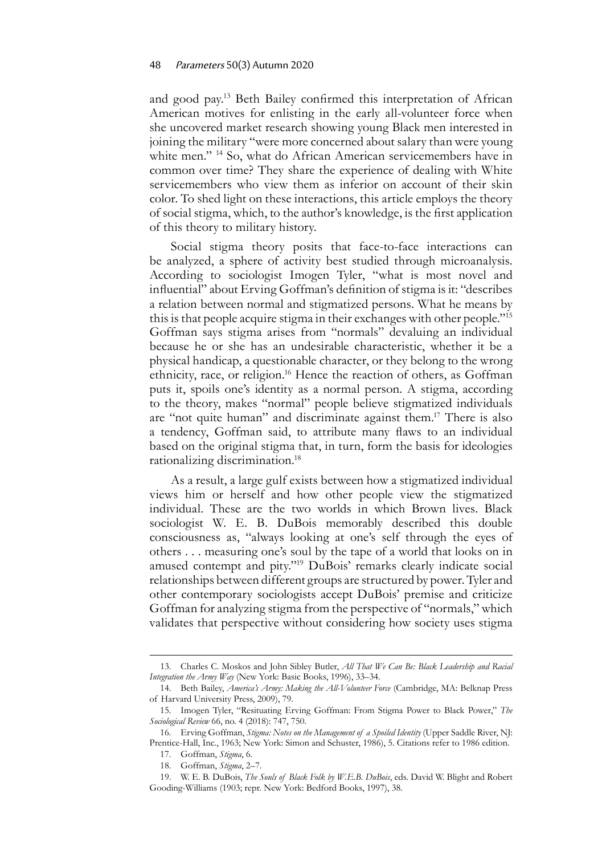and good pay.13 Beth Bailey confirmed this interpretation of African American motives for enlisting in the early all-volunteer force when she uncovered market research showing young Black men interested in joining the military "were more concerned about salary than were young white men."<sup>14</sup> So, what do African American servicemembers have in common over time? They share the experience of dealing with White servicemembers who view them as inferior on account of their skin color. To shed light on these interactions, this article employs the theory of social stigma, which, to the author's knowledge, is the first application of this theory to military history.

Social stigma theory posits that face-to-face interactions can be analyzed, a sphere of activity best studied through microanalysis. According to sociologist Imogen Tyler, "what is most novel and influential" about Erving Goffman's definition of stigma is it: "describes a relation between normal and stigmatized persons. What he means by this is that people acquire stigma in their exchanges with other people."15 Goffman says stigma arises from "normals" devaluing an individual because he or she has an undesirable characteristic, whether it be a physical handicap, a questionable character, or they belong to the wrong ethnicity, race, or religion.<sup>16</sup> Hence the reaction of others, as Goffman puts it, spoils one's identity as a normal person. A stigma, according to the theory, makes "normal" people believe stigmatized individuals are "not quite human" and discriminate against them.<sup>17</sup> There is also a tendency, Goffman said, to attribute many flaws to an individual based on the original stigma that, in turn, form the basis for ideologies rationalizing discrimination.<sup>18</sup>

As a result, a large gulf exists between how a stigmatized individual views him or herself and how other people view the stigmatized individual. These are the two worlds in which Brown lives. Black sociologist W. E. B. DuBois memorably described this double consciousness as, "always looking at one's self through the eyes of others . . . measuring one's soul by the tape of a world that looks on in amused contempt and pity."<sup>19</sup> DuBois' remarks clearly indicate social relationships between different groups are structured by power. Tyler and other contemporary sociologists accept DuBois' premise and criticize Goffman for analyzing stigma from the perspective of "normals," which validates that perspective without considering how society uses stigma

<sup>13.</sup> Charles C. Moskos and John Sibley Butler, *All That We Can Be: Black Leadership and Racial Integration the Army Way* (New York: Basic Books, 1996), 33–34.

<sup>14.</sup> Beth Bailey, *America's Army: Making the All-Volunteer Force* (Cambridge, MA: Belknap Press of Harvard University Press, 2009), 79.

<sup>15.</sup> Imogen Tyler, "Resituating Erving Goffman: From Stigma Power to Black Power," *The Sociological Review* 66, no. 4 (2018): 747, 750.

<sup>16.</sup> Erving Goffman, *Stigma: Notes on the Management of a Spoiled Identity* (Upper Saddle River, NJ: Prentice-Hall, Inc., 1963; New York: Simon and Schuster, 1986), 5. Citations refer to 1986 edition.

<sup>17.</sup> Goffman, *Stigma*, 6.

<sup>18.</sup> Goffman, *Stigma*, 2–7.

<sup>19.</sup> W. E. B. DuBois, *The Souls of Black Folk by W.E.B. DuBois*, eds. David W. Blight and Robert Gooding-Williams (1903; repr. New York: Bedford Books, 1997), 38.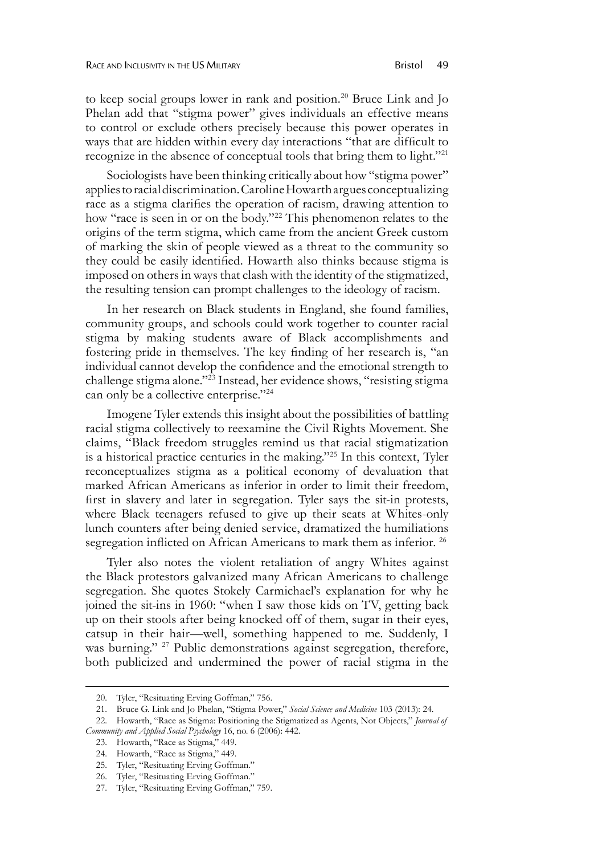to keep social groups lower in rank and position.<sup>20</sup> Bruce Link and Jo Phelan add that "stigma power" gives individuals an effective means to control or exclude others precisely because this power operates in ways that are hidden within every day interactions "that are difficult to recognize in the absence of conceptual tools that bring them to light."21

Sociologists have been thinking critically about how "stigma power" applies to racial discrimination. Caroline Howarth argues conceptualizing race as a stigma clarifies the operation of racism, drawing attention to how "race is seen in or on the body."<sup>22</sup> This phenomenon relates to the origins of the term stigma, which came from the ancient Greek custom of marking the skin of people viewed as a threat to the community so they could be easily identified. Howarth also thinks because stigma is imposed on others in ways that clash with the identity of the stigmatized, the resulting tension can prompt challenges to the ideology of racism.

In her research on Black students in England, she found families, community groups, and schools could work together to counter racial stigma by making students aware of Black accomplishments and fostering pride in themselves. The key finding of her research is, "an individual cannot develop the confidence and the emotional strength to challenge stigma alone."<sup>23</sup> Instead, her evidence shows, "resisting stigma can only be a collective enterprise."<sup>24</sup>

Imogene Tyler extends this insight about the possibilities of battling racial stigma collectively to reexamine the Civil Rights Movement. She claims, "Black freedom struggles remind us that racial stigmatization is a historical practice centuries in the making."25 In this context, Tyler reconceptualizes stigma as a political economy of devaluation that marked African Americans as inferior in order to limit their freedom, first in slavery and later in segregation. Tyler says the sit-in protests, where Black teenagers refused to give up their seats at Whites-only lunch counters after being denied service, dramatized the humiliations segregation inflicted on African Americans to mark them as inferior.<sup>26</sup>

Tyler also notes the violent retaliation of angry Whites against the Black protestors galvanized many African Americans to challenge segregation. She quotes Stokely Carmichael's explanation for why he joined the sit-ins in 1960: "when I saw those kids on TV, getting back up on their stools after being knocked off of them, sugar in their eyes, catsup in their hair—well, something happened to me. Suddenly, I was burning." <sup>27</sup> Public demonstrations against segregation, therefore, both publicized and undermined the power of racial stigma in the

<sup>20.</sup> Tyler, "Resituating Erving Goffman," 756.

<sup>21.</sup> Bruce G. Link and Jo Phelan, "Stigma Power," *Social Science and Medicine* 103 (2013): 24.

<sup>22.</sup> Howarth, "Race as Stigma: Positioning the Stigmatized as Agents, Not Objects," *Journal of Community and Applied Social Psychology* 16, no. 6 (2006): 442.

<sup>23.</sup> Howarth, "Race as Stigma," 449.

<sup>24.</sup> Howarth, "Race as Stigma," 449.

<sup>25.</sup> Tyler, "Resituating Erving Goffman."

<sup>26.</sup> Tyler, "Resituating Erving Goffman."

<sup>27.</sup> Tyler, "Resituating Erving Goffman," 759.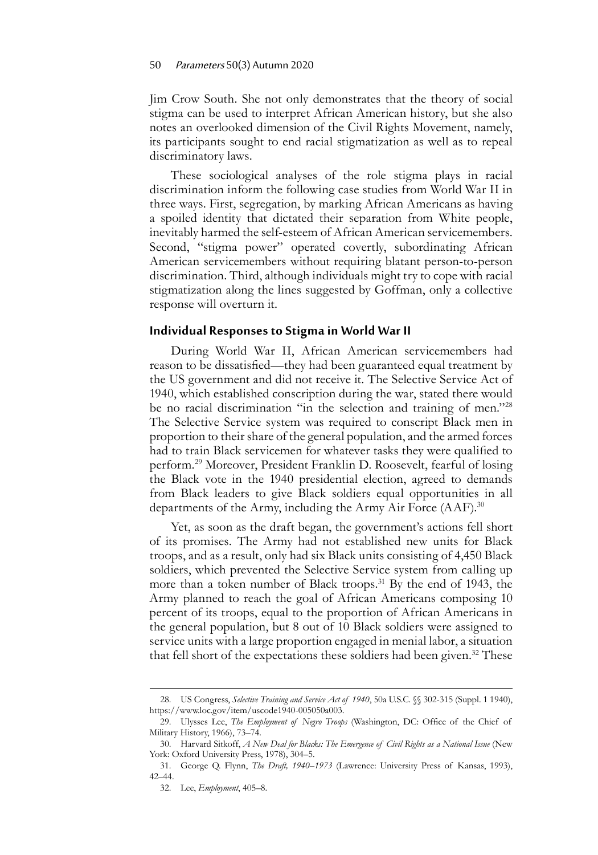Jim Crow South. She not only demonstrates that the theory of social stigma can be used to interpret African American history, but she also notes an overlooked dimension of the Civil Rights Movement, namely, its participants sought to end racial stigmatization as well as to repeal discriminatory laws.

These sociological analyses of the role stigma plays in racial discrimination inform the following case studies from World War II in three ways. First, segregation, by marking African Americans as having a spoiled identity that dictated their separation from White people, inevitably harmed the self-esteem of African American servicemembers. Second, "stigma power" operated covertly, subordinating African American servicemembers without requiring blatant person-to-person discrimination. Third, although individuals might try to cope with racial stigmatization along the lines suggested by Goffman, only a collective response will overturn it.

#### **Individual Responses to Stigma in World War II**

During World War II, African American servicemembers had reason to be dissatisfied—they had been guaranteed equal treatment by the US government and did not receive it. The Selective Service Act of 1940, which established conscription during the war, stated there would be no racial discrimination "in the selection and training of men."<sup>28</sup> The Selective Service system was required to conscript Black men in proportion to their share of the general population, and the armed forces had to train Black servicemen for whatever tasks they were qualified to perform.<sup>29</sup> Moreover, President Franklin D. Roosevelt, fearful of losing the Black vote in the 1940 presidential election, agreed to demands from Black leaders to give Black soldiers equal opportunities in all departments of the Army, including the Army Air Force  $(AAF)$ <sup>30</sup>

Yet, as soon as the draft began, the government's actions fell short of its promises. The Army had not established new units for Black troops, and as a result, only had six Black units consisting of 4,450 Black soldiers, which prevented the Selective Service system from calling up more than a token number of Black troops.<sup>31</sup> By the end of 1943, the Army planned to reach the goal of African Americans composing 10 percent of its troops, equal to the proportion of African Americans in the general population, but 8 out of 10 Black soldiers were assigned to service units with a large proportion engaged in menial labor, a situation that fell short of the expectations these soldiers had been given.<sup>32</sup> These

<sup>28.</sup> US Congress, *Selective Training and Service Act of 1940*, 50a U.S.C. §§ 302-315 (Suppl. 1 1940), <https://www.loc.gov/item/uscode1940-005050a003>.

<sup>29.</sup> Ulysses Lee, *The Employment of Negro Troops* (Washington, DC: Office of the Chief of Military History, 1966), 73–74.

<sup>30.</sup> Harvard Sitkoff, *A New Deal for Blacks: The Emergence of Civil Rights as a National Issue* (New York: Oxford University Press, 1978), 304–5.

<sup>31.</sup> George Q. Flynn, *The Draft, 1940–1973* (Lawrence: University Press of Kansas, 1993), 42–44.

<sup>32.</sup> Lee, *Employment*, 405–8.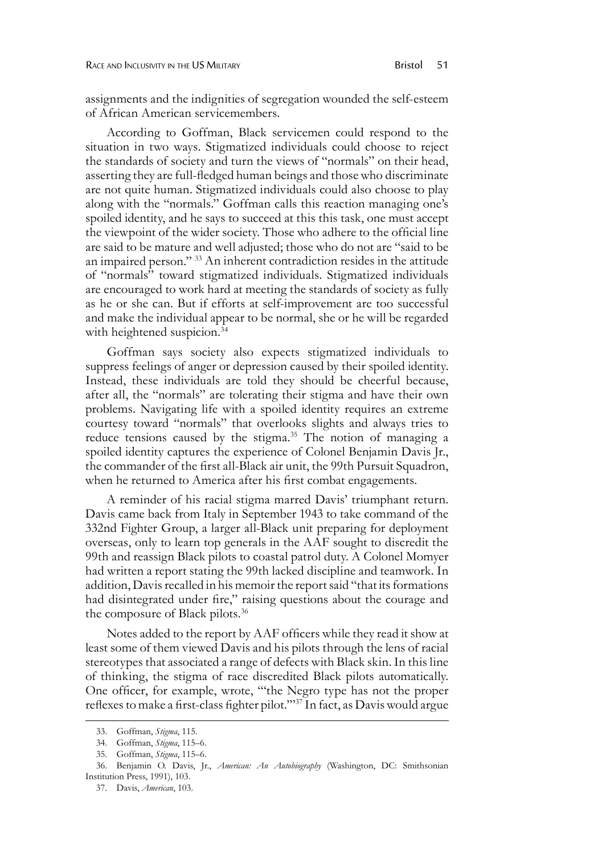assignments and the indignities of segregation wounded the self-esteem of African American servicemembers.

According to Goffman, Black servicemen could respond to the situation in two ways. Stigmatized individuals could choose to reject the standards of society and turn the views of "normals" on their head, asserting they are full-fledged human beings and those who discriminate are not quite human. Stigmatized individuals could also choose to play along with the "normals." Goffman calls this reaction managing one's spoiled identity, and he says to succeed at this this task, one must accept the viewpoint of the wider society. Those who adhere to the official line are said to be mature and well adjusted; those who do not are "said to be an impaired person." <sup>33</sup> An inherent contradiction resides in the attitude of "normals" toward stigmatized individuals. Stigmatized individuals are encouraged to work hard at meeting the standards of society as fully as he or she can. But if efforts at self-improvement are too successful and make the individual appear to be normal, she or he will be regarded with heightened suspicion.<sup>34</sup>

Goffman says society also expects stigmatized individuals to suppress feelings of anger or depression caused by their spoiled identity. Instead, these individuals are told they should be cheerful because, after all, the "normals" are tolerating their stigma and have their own problems. Navigating life with a spoiled identity requires an extreme courtesy toward "normals" that overlooks slights and always tries to reduce tensions caused by the stigma.<sup>35</sup> The notion of managing a spoiled identity captures the experience of Colonel Benjamin Davis Jr., the commander of the first all-Black air unit, the 99th Pursuit Squadron, when he returned to America after his first combat engagements.

A reminder of his racial stigma marred Davis' triumphant return. Davis came back from Italy in September 1943 to take command of the 332nd Fighter Group, a larger all-Black unit preparing for deployment overseas, only to learn top generals in the AAF sought to discredit the 99th and reassign Black pilots to coastal patrol duty. A Colonel Momyer had written a report stating the 99th lacked discipline and teamwork. In addition, Davis recalled in his memoir the report said "that its formations had disintegrated under fire," raising questions about the courage and the composure of Black pilots.<sup>36</sup>

Notes added to the report by AAF officers while they read it show at least some of them viewed Davis and his pilots through the lens of racial stereotypes that associated a range of defects with Black skin. In this line of thinking, the stigma of race discredited Black pilots automatically. One officer, for example, wrote, "'the Negro type has not the proper reflexes to make a first-class fighter pilot.'"37 In fact, as Davis would argue

<sup>33.</sup> Goffman, *Stigma*, 115.

<sup>34.</sup> Goffman, *Stigma*, 115–6.

<sup>35.</sup> Goffman, *Stigma*, 115–6.

<sup>36.</sup> Benjamin O. Davis, Jr., *American: An Autobiography* (Washington, DC: Smithsonian Institution Press, 1991), 103.

<sup>37.</sup> Davis, *American*, 103.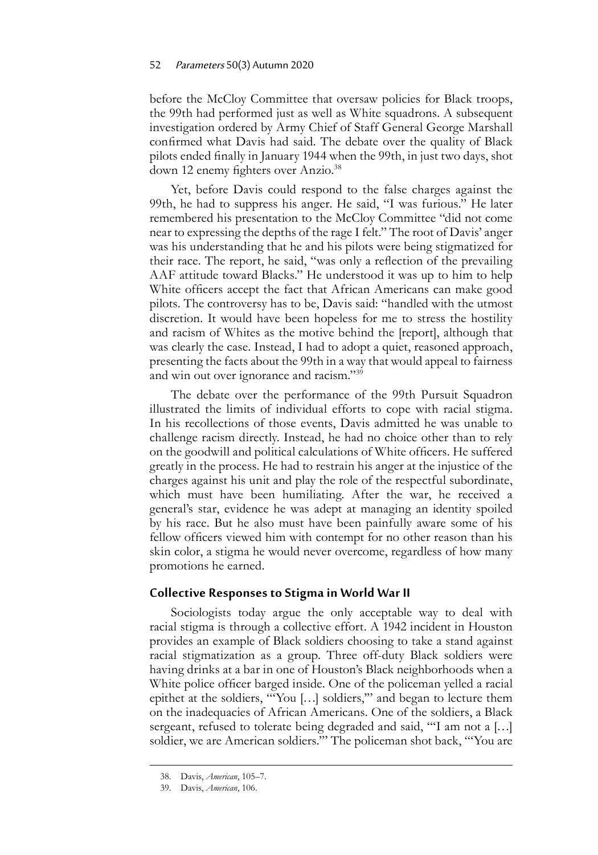before the McCloy Committee that oversaw policies for Black troops, the 99th had performed just as well as White squadrons. A subsequent investigation ordered by Army Chief of Staff General George Marshall confirmed what Davis had said. The debate over the quality of Black pilots ended finally in January 1944 when the 99th, in just two days, shot down 12 enemy fighters over Anzio.<sup>38</sup>

Yet, before Davis could respond to the false charges against the 99th, he had to suppress his anger. He said, "I was furious." He later remembered his presentation to the McCloy Committee "did not come near to expressing the depths of the rage I felt." The root of Davis' anger was his understanding that he and his pilots were being stigmatized for their race. The report, he said, "was only a reflection of the prevailing AAF attitude toward Blacks." He understood it was up to him to help White officers accept the fact that African Americans can make good pilots. The controversy has to be, Davis said: "handled with the utmost discretion. It would have been hopeless for me to stress the hostility and racism of Whites as the motive behind the [report], although that was clearly the case. Instead, I had to adopt a quiet, reasoned approach, presenting the facts about the 99th in a way that would appeal to fairness and win out over ignorance and racism."<sup>39</sup>

The debate over the performance of the 99th Pursuit Squadron illustrated the limits of individual efforts to cope with racial stigma. In his recollections of those events, Davis admitted he was unable to challenge racism directly. Instead, he had no choice other than to rely on the goodwill and political calculations of White officers. He suffered greatly in the process. He had to restrain his anger at the injustice of the charges against his unit and play the role of the respectful subordinate, which must have been humiliating. After the war, he received a general's star, evidence he was adept at managing an identity spoiled by his race. But he also must have been painfully aware some of his fellow officers viewed him with contempt for no other reason than his skin color, a stigma he would never overcome, regardless of how many promotions he earned.

#### **Collective Responses to Stigma in World War II**

Sociologists today argue the only acceptable way to deal with racial stigma is through a collective effort. A 1942 incident in Houston provides an example of Black soldiers choosing to take a stand against racial stigmatization as a group. Three off-duty Black soldiers were having drinks at a bar in one of Houston's Black neighborhoods when a White police officer barged inside. One of the policeman yelled a racial epithet at the soldiers, "'You […] soldiers,'" and began to lecture them on the inadequacies of African Americans. One of the soldiers, a Black sergeant, refused to tolerate being degraded and said, "'I am not a […] soldier, we are American soldiers.'" The policeman shot back, "'You are

<sup>38.</sup> Davis, *American*, 105–7.

<sup>39.</sup> Davis, *American*, 106.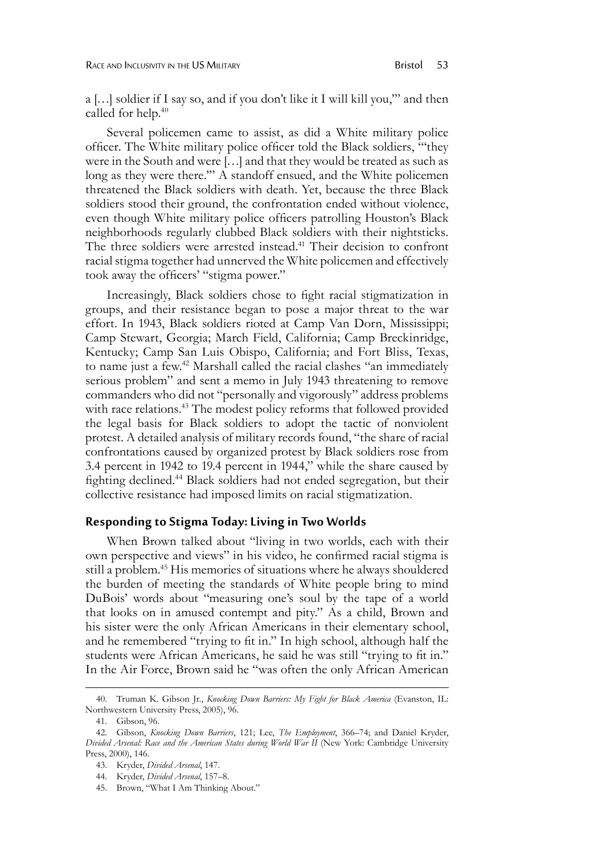a […] soldier if I say so, and if you don't like it I will kill you,'" and then called for help.<sup>40</sup>

Several policemen came to assist, as did a White military police officer. The White military police officer told the Black soldiers, "'they were in the South and were […] and that they would be treated as such as long as they were there.'" A standoff ensued, and the White policemen threatened the Black soldiers with death. Yet, because the three Black soldiers stood their ground, the confrontation ended without violence, even though White military police officers patrolling Houston's Black neighborhoods regularly clubbed Black soldiers with their nightsticks. The three soldiers were arrested instead.<sup>41</sup> Their decision to confront racial stigma together had unnerved the White policemen and effectively took away the officers' "stigma power."

Increasingly, Black soldiers chose to fight racial stigmatization in groups, and their resistance began to pose a major threat to the war effort. In 1943, Black soldiers rioted at Camp Van Dorn, Mississippi; Camp Stewart, Georgia; March Field, California; Camp Breckinridge, Kentucky; Camp San Luis Obispo, California; and Fort Bliss, Texas, to name just a few.<sup>42</sup> Marshall called the racial clashes "an immediately serious problem" and sent a memo in July 1943 threatening to remove commanders who did not "personally and vigorously" address problems with race relations.<sup>43</sup> The modest policy reforms that followed provided the legal basis for Black soldiers to adopt the tactic of nonviolent protest. A detailed analysis of military records found, "the share of racial confrontations caused by organized protest by Black soldiers rose from 3.4 percent in 1942 to 19.4 percent in 1944," while the share caused by fighting declined.44 Black soldiers had not ended segregation, but their collective resistance had imposed limits on racial stigmatization.

#### **Responding to Stigma Today: Living in Two Worlds**

When Brown talked about "living in two worlds, each with their own perspective and views" in his video, he confirmed racial stigma is still a problem.45 His memories of situations where he always shouldered the burden of meeting the standards of White people bring to mind DuBois' words about "measuring one's soul by the tape of a world that looks on in amused contempt and pity." As a child, Brown and his sister were the only African Americans in their elementary school, and he remembered "trying to fit in." In high school, although half the students were African Americans, he said he was still "trying to fit in." In the Air Force, Brown said he "was often the only African American

45. Brown, "What I Am Thinking About."

<sup>40.</sup> Truman K. Gibson Jr., *Knocking Down Barriers: My Fight for Black America* (Evanston, IL: Northwestern University Press, 2005), 96.

<sup>41.</sup> Gibson, 96.

<sup>42.</sup> Gibson, *Knocking Down Barriers*, 121; Lee, *The Employment*, 366–74; and Daniel Kryder, *Divided Arsenal: Race and the American States during World War II* (New York: Cambridge University Press, 2000), 146.

<sup>43.</sup> Kryder, *Divided Arsenal*, 147.

<sup>44.</sup> Kryder, *Divided Arsenal*, 157–8.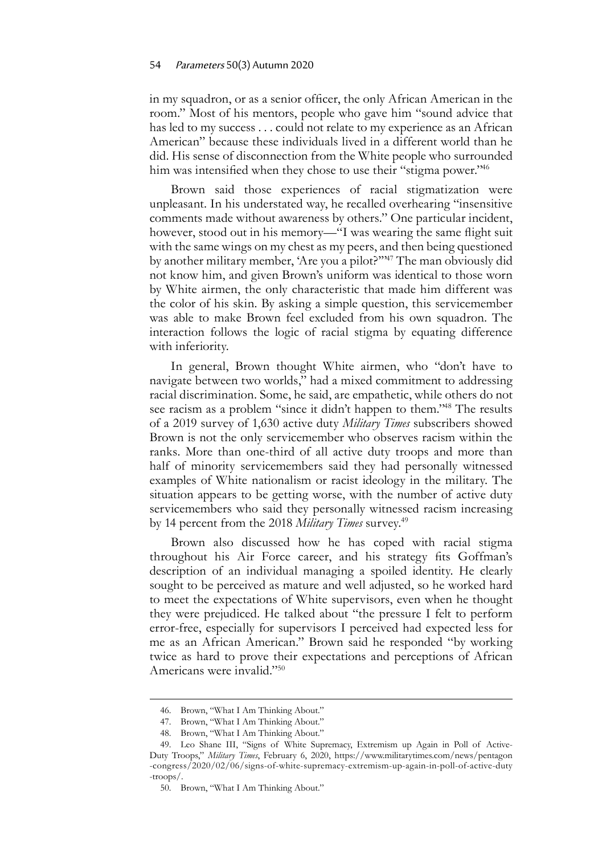in my squadron, or as a senior officer, the only African American in the room." Most of his mentors, people who gave him "sound advice that has led to my success . . . could not relate to my experience as an African American" because these individuals lived in a different world than he did. His sense of disconnection from the White people who surrounded him was intensified when they chose to use their "stigma power."<sup>46</sup>

Brown said those experiences of racial stigmatization were unpleasant. In his understated way, he recalled overhearing "insensitive comments made without awareness by others." One particular incident, however, stood out in his memory—"I was wearing the same flight suit with the same wings on my chest as my peers, and then being questioned by another military member, 'Are you a pilot?"<sup>47</sup> The man obviously did not know him, and given Brown's uniform was identical to those worn by White airmen, the only characteristic that made him different was the color of his skin. By asking a simple question, this servicemember was able to make Brown feel excluded from his own squadron. The interaction follows the logic of racial stigma by equating difference with inferiority.

In general, Brown thought White airmen, who "don't have to navigate between two worlds," had a mixed commitment to addressing racial discrimination. Some, he said, are empathetic, while others do not see racism as a problem "since it didn't happen to them."<sup>48</sup> The results of a 2019 survey of 1,630 active duty *Military Times* subscribers showed Brown is not the only servicemember who observes racism within the ranks. More than one-third of all active duty troops and more than half of minority servicemembers said they had personally witnessed examples of White nationalism or racist ideology in the military. The situation appears to be getting worse, with the number of active duty servicemembers who said they personally witnessed racism increasing by 14 percent from the 2018 *Military Times* survey.<sup>49</sup>

Brown also discussed how he has coped with racial stigma throughout his Air Force career, and his strategy fits Goffman's description of an individual managing a spoiled identity. He clearly sought to be perceived as mature and well adjusted, so he worked hard to meet the expectations of White supervisors, even when he thought they were prejudiced. He talked about "the pressure I felt to perform error-free, especially for supervisors I perceived had expected less for me as an African American." Brown said he responded "by working twice as hard to prove their expectations and perceptions of African Americans were invalid."50

<sup>46.</sup> Brown, "What I Am Thinking About."

<sup>47.</sup> Brown, "What I Am Thinking About."

<sup>48.</sup> Brown, "What I Am Thinking About."

<sup>49.</sup> Leo Shane III, "Signs of White Supremacy, Extremism up Again in Poll of Active-Duty Troops," *Military Times*, February 6, 2020, [https://www.militarytimes.com/news/pentagon](https://www.militarytimes.com/news/pentagon-congress/2020/02/06/signs-of-white-supremacy-extremism-up-again-in-poll-of-active-duty-troops/) [-congress/2020/02/06/signs-of-white-supremacy-extremism-up-again-in-poll-of-active-duty](https://www.militarytimes.com/news/pentagon-congress/2020/02/06/signs-of-white-supremacy-extremism-up-again-in-poll-of-active-duty-troops/) [-troops/.](https://www.militarytimes.com/news/pentagon-congress/2020/02/06/signs-of-white-supremacy-extremism-up-again-in-poll-of-active-duty-troops/)

<sup>50.</sup> Brown, "What I Am Thinking About."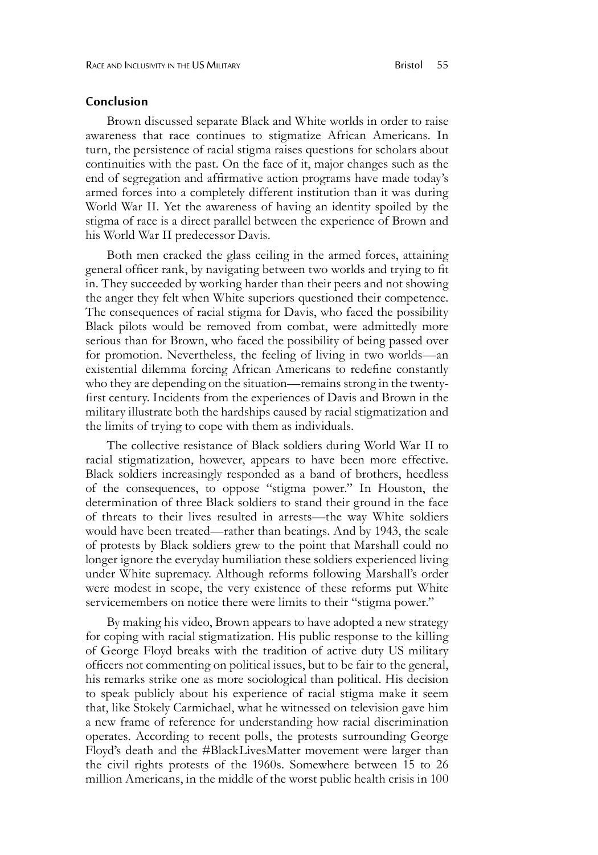#### **Conclusion**

Brown discussed separate Black and White worlds in order to raise awareness that race continues to stigmatize African Americans. In turn, the persistence of racial stigma raises questions for scholars about continuities with the past. On the face of it, major changes such as the end of segregation and affirmative action programs have made today's armed forces into a completely different institution than it was during World War II. Yet the awareness of having an identity spoiled by the stigma of race is a direct parallel between the experience of Brown and his World War II predecessor Davis.

Both men cracked the glass ceiling in the armed forces, attaining general officer rank, by navigating between two worlds and trying to fit in. They succeeded by working harder than their peers and not showing the anger they felt when White superiors questioned their competence. The consequences of racial stigma for Davis, who faced the possibility Black pilots would be removed from combat, were admittedly more serious than for Brown, who faced the possibility of being passed over for promotion. Nevertheless, the feeling of living in two worlds—an existential dilemma forcing African Americans to redefine constantly who they are depending on the situation—remains strong in the twentyfirst century. Incidents from the experiences of Davis and Brown in the military illustrate both the hardships caused by racial stigmatization and the limits of trying to cope with them as individuals.

The collective resistance of Black soldiers during World War II to racial stigmatization, however, appears to have been more effective. Black soldiers increasingly responded as a band of brothers, heedless of the consequences, to oppose "stigma power." In Houston, the determination of three Black soldiers to stand their ground in the face of threats to their lives resulted in arrests—the way White soldiers would have been treated—rather than beatings. And by 1943, the scale of protests by Black soldiers grew to the point that Marshall could no longer ignore the everyday humiliation these soldiers experienced living under White supremacy. Although reforms following Marshall's order were modest in scope, the very existence of these reforms put White servicemembers on notice there were limits to their "stigma power."

By making his video, Brown appears to have adopted a new strategy for coping with racial stigmatization. His public response to the killing of George Floyd breaks with the tradition of active duty US military officers not commenting on political issues, but to be fair to the general, his remarks strike one as more sociological than political. His decision to speak publicly about his experience of racial stigma make it seem that, like Stokely Carmichael, what he witnessed on television gave him a new frame of reference for understanding how racial discrimination operates. According to recent polls, the protests surrounding George Floyd's death and the #BlackLivesMatter movement were larger than the civil rights protests of the 1960s. Somewhere between 15 to 26 million Americans, in the middle of the worst public health crisis in 100